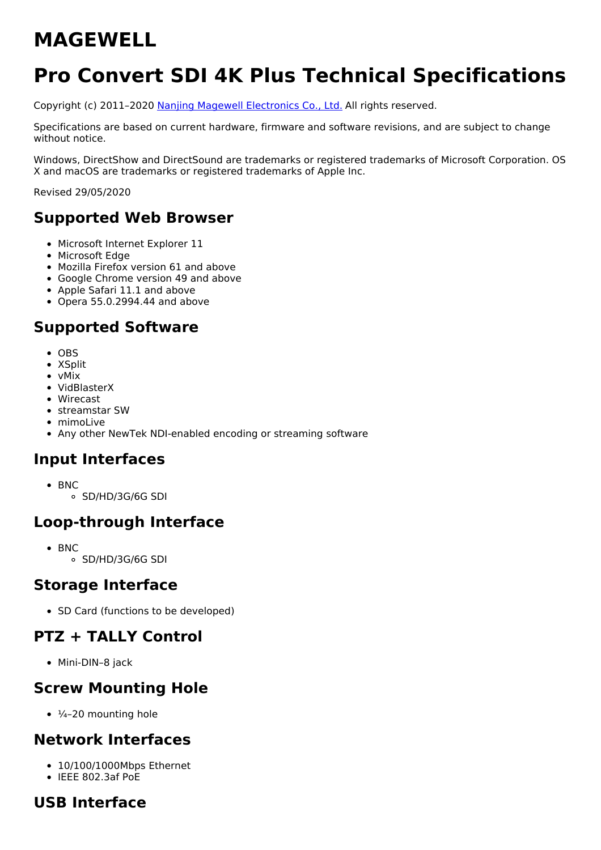# **MAGEWELL**

# **Pro Convert SDI 4K Plus Technical Specifications**

Copyright (c) 2011–2020 Nanjing Magewell [Electronics](http://www.magewell.com) Co., Ltd. All rights reserved.

Specifications are based on current hardware, firmware and software revisions, and are subject to change without notice.

Windows, DirectShow and DirectSound are trademarks or registered trademarks of Microsoft Corporation. OS X and macOS are trademarks or registered trademarks of Apple Inc.

Revised 29/05/2020

## **Supported Web Browser**

- Microsoft Internet Explorer 11
- Microsoft Edge
- Mozilla Firefox version 61 and above
- Google Chrome version 49 and above
- Apple Safari 11.1 and above
- Opera 55.0.2994.44 and above

## **Supported Software**

- OBS
- XSplit
- vMix
- VidBlasterX
- Wirecast
- streamstar SW
- mimoLive
- Any other NewTek NDI-enabled encoding or streaming software

#### **Input Interfaces**

- BNC
	- SD/HD/3G/6G SDI

## **Loop-through Interface**

- $-BNC$ 
	- SD/HD/3G/6G SDI

#### **Storage Interface**

• SD Card (functions to be developed)

## **PTZ + TALLY Control**

Mini-DIN–8 jack

#### **Screw Mounting Hole**

 $\cdot$   $\frac{1}{4}$ -20 mounting hole

#### **Network Interfaces**

- 10/100/1000Mbps Ethernet
- IEEE 802.3af PoE

## **USB Interface**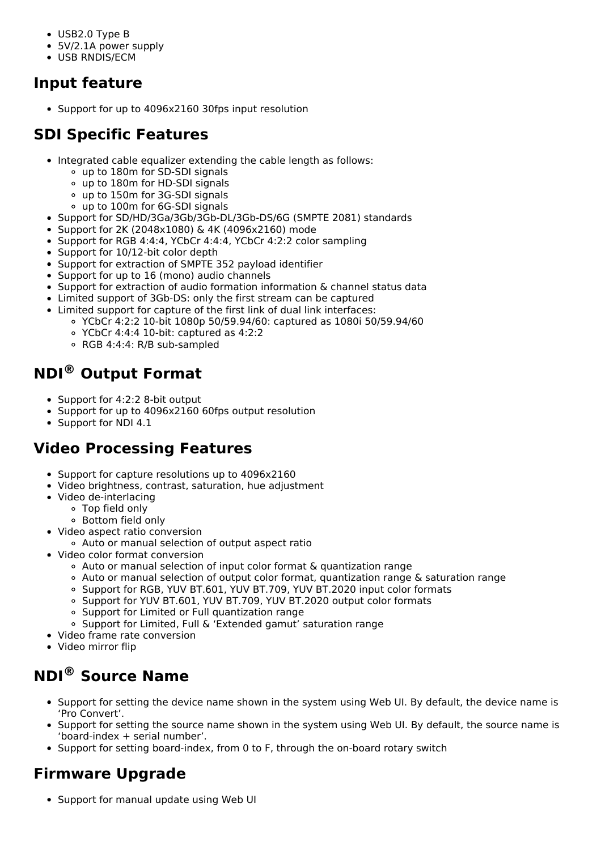- USB2.0 Type B
- 5V/2.1A power supply
- USB RNDIS/ECM

## **Input feature**

• Support for up to 4096x2160 30fps input resolution

## **SDI Specific Features**

- Integrated cable equalizer extending the cable length as follows:
	- up to 180m for SD-SDI signals
	- up to 180m for HD-SDI signals
	- up to 150m for 3G-SDI signals
	- up to 100m for 6G-SDI signals
- Support for SD/HD/3Ga/3Gb/3Gb-DL/3Gb-DS/6G (SMPTE 2081) standards
- Support for 2K (2048x1080) & 4K (4096x2160) mode
- Support for RGB 4:4:4, YCbCr 4:4:4, YCbCr 4:2:2 color sampling
- Support for 10/12-bit color depth
- Support for extraction of SMPTE 352 payload identifier
- Support for up to 16 (mono) audio channels
- Support for extraction of audio formation information & channel status data
- Limited support of 3Gb-DS: only the first stream can be captured
- Limited support for capture of the first link of dual link interfaces:
	- YCbCr 4:2:2 10-bit 1080p 50/59.94/60: captured as 1080i 50/59.94/60
	- YCbCr 4:4:4 10-bit: captured as 4:2:2
	- RGB 4:4:4: R/B sub-sampled

## **NDI® Output Format**

- Support for 4:2:2 8-bit output
- Support for up to 4096x2160 60fps output resolution
- Support for NDI 4.1

## **Video Processing Features**

- Support for capture resolutions up to 4096x2160
- Video brightness, contrast, saturation, hue adjustment
- Video de-interlacing
	- Top field only
		- Bottom field only
- Video aspect ratio conversion
	- Auto or manual selection of output aspect ratio
- Video color format conversion
	- Auto or manual selection of input color format & quantization range
	- Auto or manual selection of output color format, quantization range & saturation range
	- Support for RGB, YUV BT.601, YUV BT.709, YUV BT.2020 input color formats
	- o Support for YUV BT.601, YUV BT.709, YUV BT.2020 output color formats
	- Support for Limited or Full quantization range
	- Support for Limited, Full & 'Extended gamut' saturation range
- Video frame rate conversion
- Video mirror flip

# **NDI® Source Name**

- Support for setting the device name shown in the system using Web UI. By default, the device name is 'Pro Convert'.
- Support for setting the source name shown in the system using Web UI. By default, the source name is 'board-index + serial number'.
- Support for setting board-index, from 0 to F, through the on-board rotary switch

# **Firmware Upgrade**

• Support for manual update using Web UI